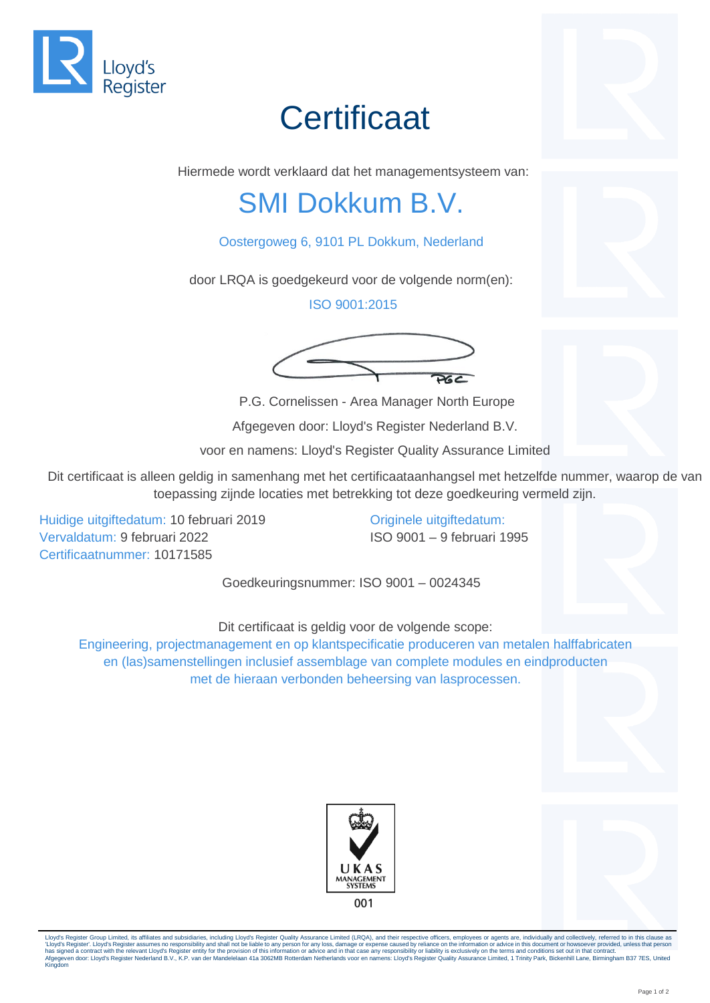

## **Certificaat**



Hiermede wordt verklaard dat het managementsysteem van:

## SMI Dokkum B.V.

## Oostergoweg 6, 9101 PL Dokkum, Nederland

door LRQA is goedgekeurd voor de volgende norm(en):

ISO 9001:2015



P.G. Cornelissen - Area Manager North Europe

Afgegeven door: Lloyd's Register Nederland B.V.

voor en namens: Lloyd's Register Quality Assurance Limited

Dit certificaat is alleen geldig in samenhang met het certificaataanhangsel met hetzelfde nummer, waarop de van toepassing zijnde locaties met betrekking tot deze goedkeuring vermeld zijn.

Huidige uitgiftedatum: 10 februari 2019 Vervaldatum: 9 februari 2022 Certificaatnummer: 10171585

Originele uitgiftedatum: ISO 9001 – 9 februari 1995

Goedkeuringsnummer: ISO 9001 – 0024345

Dit certificaat is geldig voor de volgende scope:

Engineering, projectmanagement en op klantspecificatie produceren van metalen halffabricaten en (las)samenstellingen inclusief assemblage van complete modules en eindproducten met de hieraan verbonden beheersing van lasprocessen.





Lloyd's Register Group Limited, its affiliates and subsidiaries, including Lloyd's Register Group Limited (LRQA), and their respective officers, employees or agents are, individually and collectively, referred to in this c